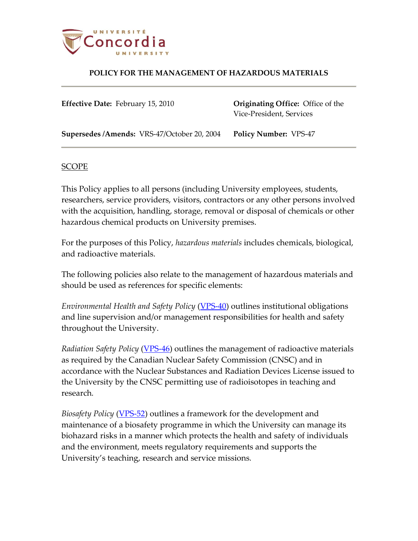

**Effective Date:** February 15, 2010 **Originating Office:** Office of the Vice-President, Services

**Supersedes /Amends:** VRS-47/October 20, 2004 **Policy Number:** VPS-47

#### SCOPE

This Policy applies to all persons (including University employees, students, researchers, service providers, visitors, contractors or any other persons involved with the acquisition, handling, storage, removal or disposal of chemicals or other hazardous chemical products on University premises.

For the purposes of this Policy, *hazardous materials* includes chemicals, biological, and radioactive materials.

The following policies also relate to the management of hazardous materials and should be used as references for specific elements:

*Environmental Health and Safety Policy* [\(VPS-40\)](http://www.concordia.ca/vpirsg/documents/policies/VPS-40.pdf) outlines institutional obligations and line supervision and/or management responsibilities for health and safety throughout the University.

*Radiation Safety Policy* [\(VPS-46\)](http://www.concordia.ca/vpirsg/documents/policies/VPS-46.pdf) outlines the management of radioactive materials as required by the Canadian Nuclear Safety Commission (CNSC) and in accordance with the Nuclear Substances and Radiation Devices License issued to the University by the CNSC permitting use of radioisotopes in teaching and research*.*

*Biosafety Policy* [\(VPS-52\)](http://www.concordia.ca/vpirsg/documents/policies/VPS-52.pdf) outlines a framework for the development and maintenance of a biosafety programme in which the University can manage its biohazard risks in a manner which protects the health and safety of individuals and the environment, meets regulatory requirements and supports the University's teaching, research and service missions*.*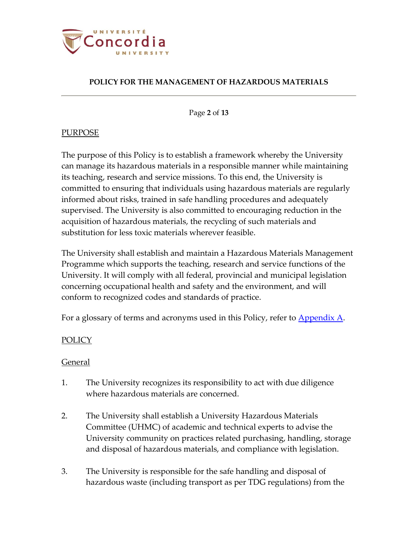

Page **2** of **13**

# PURPOSE

The purpose of this Policy is to establish a framework whereby the University can manage its hazardous materials in a responsible manner while maintaining its teaching, research and service missions. To this end, the University is committed to ensuring that individuals using hazardous materials are regularly informed about risks, trained in safe handling procedures and adequately supervised. The University is also committed to encouraging reduction in the acquisition of hazardous materials, the recycling of such materials and substitution for less toxic materials wherever feasible.

The University shall establish and maintain a Hazardous Materials Management Programme which supports the teaching, research and service functions of the University. It will comply with all federal, provincial and municipal legislation concerning occupational health and safety and the environment, and will conform to recognized codes and standards of practice.

For a glossary of terms and acronyms used in this Policy, refer to **Appendix A**.

# **POLICY**

### General

- 1. The University recognizes its responsibility to act with due diligence where hazardous materials are concerned.
- 2. The University shall establish a University Hazardous Materials Committee (UHMC) of academic and technical experts to advise the University community on practices related purchasing, handling, storage and disposal of hazardous materials, and compliance with legislation.
- 3. The University is responsible for the safe handling and disposal of hazardous waste (including transport as per TDG regulations) from the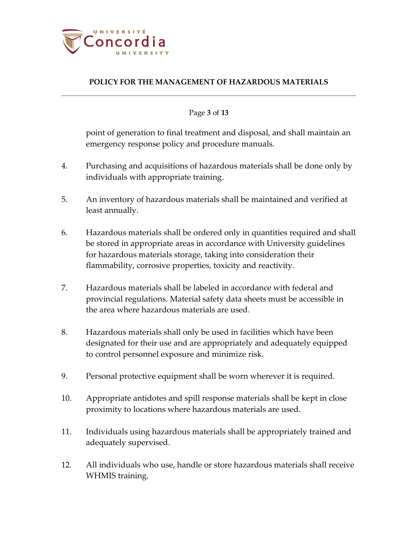

### Page **3** of **13**

point of generation to final treatment and disposal, and shall maintain an emergency response policy and procedure manuals.

- 4. Purchasing and acquisitions of hazardous materials shall be done only by individuals with appropriate training.
- 5. An inventory of hazardous materials shall be maintained and verified at least annually.
- 6. Hazardous materials shall be ordered only in quantities required and shall be stored in appropriate areas in accordance with University guidelines for hazardous materials storage, taking into consideration their flammability, corrosive properties, toxicity and reactivity.
- 7. Hazardous materials shall be labeled in accordance with federal and provincial regulations. Material safety data sheets must be accessible in the area where hazardous materials are used.
- 8. Hazardous materials shall only be used in facilities which have been designated for their use and are appropriately and adequately equipped to control personnel exposure and minimize risk.
- 9. Personal protective equipment shall be worn wherever it is required.
- 10. Appropriate antidotes and spill response materials shall be kept in close proximity to locations where hazardous materials are used.
- 11. Individuals using hazardous materials shall be appropriately trained and adequately supervised.
- 12. All individuals who use, handle or store hazardous materials shall receive WHMIS training.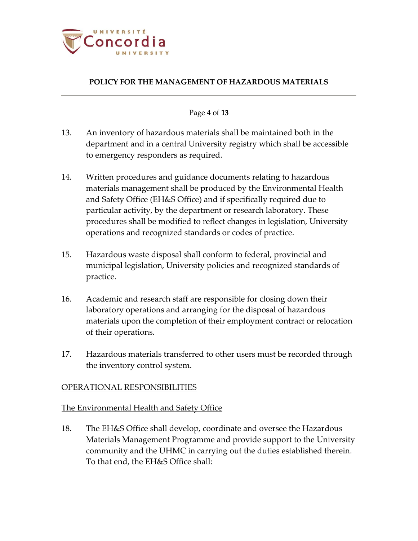

#### Page **4** of **13**

- 13. An inventory of hazardous materials shall be maintained both in the department and in a central University registry which shall be accessible to emergency responders as required.
- 14. Written procedures and guidance documents relating to hazardous materials management shall be produced by the Environmental Health and Safety Office (EH&S Office) and if specifically required due to particular activity, by the department or research laboratory. These procedures shall be modified to reflect changes in legislation, University operations and recognized standards or codes of practice.
- 15. Hazardous waste disposal shall conform to federal, provincial and municipal legislation, University policies and recognized standards of practice.
- 16. Academic and research staff are responsible for closing down their laboratory operations and arranging for the disposal of hazardous materials upon the completion of their employment contract or relocation of their operations.
- 17. Hazardous materials transferred to other users must be recorded through the inventory control system.

### OPERATIONAL RESPONSIBILITIES

## The Environmental Health and Safety Office

18. The EH&S Office shall develop, coordinate and oversee the Hazardous Materials Management Programme and provide support to the University community and the UHMC in carrying out the duties established therein. To that end, the EH&S Office shall: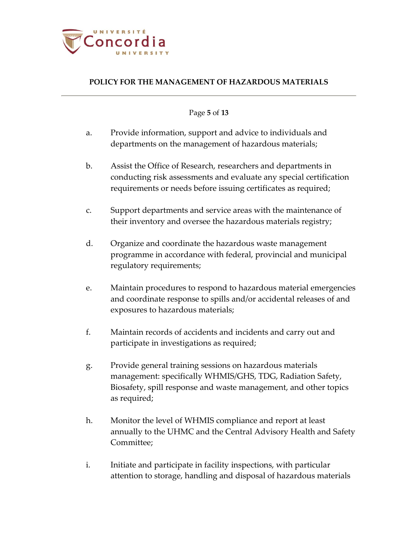

Page **5** of **13**

- a. Provide information, support and advice to individuals and departments on the management of hazardous materials;
- b. Assist the Office of Research, researchers and departments in conducting risk assessments and evaluate any special certification requirements or needs before issuing certificates as required;
- c. Support departments and service areas with the maintenance of their inventory and oversee the hazardous materials registry;
- d. Organize and coordinate the hazardous waste management programme in accordance with federal, provincial and municipal regulatory requirements;
- e. Maintain procedures to respond to hazardous material emergencies and coordinate response to spills and/or accidental releases of and exposures to hazardous materials;
- f. Maintain records of accidents and incidents and carry out and participate in investigations as required;
- g. Provide general training sessions on hazardous materials management: specifically WHMIS/GHS, TDG, Radiation Safety, Biosafety, spill response and waste management, and other topics as required;
- h. Monitor the level of WHMIS compliance and report at least annually to the UHMC and the Central Advisory Health and Safety Committee;
- i. Initiate and participate in facility inspections, with particular attention to storage, handling and disposal of hazardous materials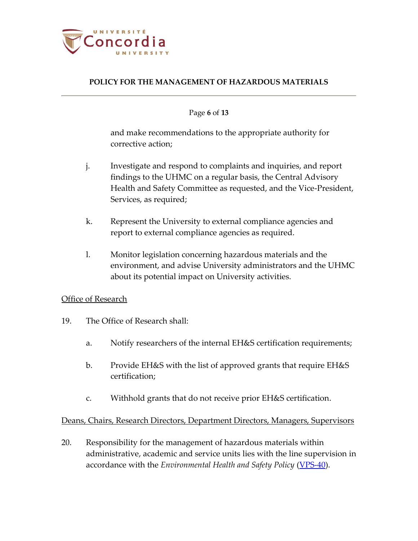

#### Page **6** of **13**

and make recommendations to the appropriate authority for corrective action;

- j. Investigate and respond to complaints and inquiries, and report findings to the UHMC on a regular basis, the Central Advisory Health and Safety Committee as requested, and the Vice-President, Services, as required;
- k. Represent the University to external compliance agencies and report to external compliance agencies as required.
- l. Monitor legislation concerning hazardous materials and the environment, and advise University administrators and the UHMC about its potential impact on University activities.

### Office of Research

- 19. The Office of Research shall:
	- a. Notify researchers of the internal EH&S certification requirements;
	- b. Provide EH&S with the list of approved grants that require EH&S certification;
	- c. Withhold grants that do not receive prior EH&S certification.

### Deans, Chairs, Research Directors, Department Directors, Managers, Supervisors

20. Responsibility for the management of hazardous materials within administrative, academic and service units lies with the line supervision in accordance with the *Environmental Health and Safety Policy* [\(VPS-40\)](http://www.concordia.ca/vpirsg/documents/policies/VPS-40.pdf).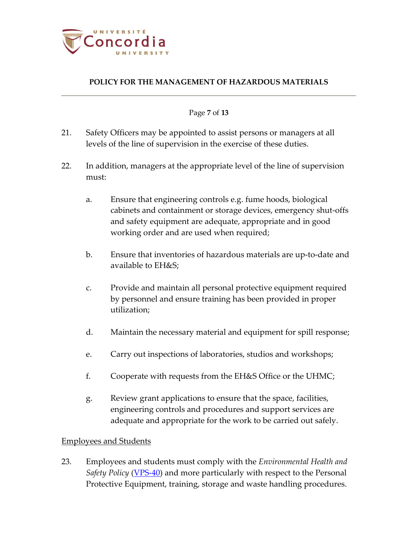

#### Page **7** of **13**

- 21. Safety Officers may be appointed to assist persons or managers at all levels of the line of supervision in the exercise of these duties.
- 22. In addition, managers at the appropriate level of the line of supervision must:
	- a. Ensure that engineering controls e.g. fume hoods, biological cabinets and containment or storage devices, emergency shut-offs and safety equipment are adequate, appropriate and in good working order and are used when required;
	- b. Ensure that inventories of hazardous materials are up-to-date and available to EH&S;
	- c. Provide and maintain all personal protective equipment required by personnel and ensure training has been provided in proper utilization;
	- d. Maintain the necessary material and equipment for spill response;
	- e. Carry out inspections of laboratories, studios and workshops;
	- f. Cooperate with requests from the EH&S Office or the UHMC;
	- g. Review grant applications to ensure that the space, facilities, engineering controls and procedures and support services are adequate and appropriate for the work to be carried out safely.

### Employees and Students

23. Employees and students must comply with the *Environmental Health and Safety Policy* [\(VPS-40\)](http://www.concordia.ca/vpirsg/documents/policies/VPS-40.pdf) and more particularly with respect to the Personal Protective Equipment, training, storage and waste handling procedures.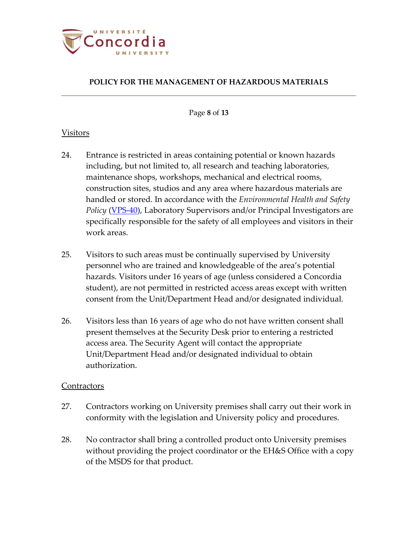

Page **8** of **13**

# Visitors

- 24. Entrance is restricted in areas containing potential or known hazards including, but not limited to, all research and teaching laboratories, maintenance shops, workshops, mechanical and electrical rooms, construction sites, studios and any area where hazardous materials are handled or stored. In accordance with the *Environmental Health and Safety Policy* [\(VPS-40\)](http://www.concordia.ca/vpirsg/documents/policies/VPS-40.pdf), Laboratory Supervisors and/or Principal Investigators are specifically responsible for the safety of all employees and visitors in their work areas.
- 25. Visitors to such areas must be continually supervised by University personnel who are trained and knowledgeable of the area's potential hazards. Visitors under 16 years of age (unless considered a Concordia student), are not permitted in restricted access areas except with written consent from the Unit/Department Head and/or designated individual.
- 26. Visitors less than 16 years of age who do not have written consent shall present themselves at the Security Desk prior to entering a restricted access area. The Security Agent will contact the appropriate Unit/Department Head and/or designated individual to obtain authorization.

### **Contractors**

- 27. Contractors working on University premises shall carry out their work in conformity with the legislation and University policy and procedures.
- 28. No contractor shall bring a controlled product onto University premises without providing the project coordinator or the EH&S Office with a copy of the MSDS for that product.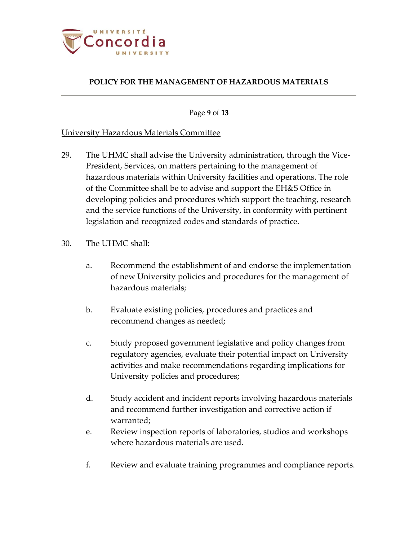

Page **9** of **13**

# University Hazardous Materials Committee

- 29. The UHMC shall advise the University administration, through the Vice-President, Services, on matters pertaining to the management of hazardous materials within University facilities and operations. The role of the Committee shall be to advise and support the EH&S Office in developing policies and procedures which support the teaching, research and the service functions of the University, in conformity with pertinent legislation and recognized codes and standards of practice.
- 30. The UHMC shall:
	- a. Recommend the establishment of and endorse the implementation of new University policies and procedures for the management of hazardous materials;
	- b. Evaluate existing policies, procedures and practices and recommend changes as needed;
	- c. Study proposed government legislative and policy changes from regulatory agencies, evaluate their potential impact on University activities and make recommendations regarding implications for University policies and procedures;
	- d. Study accident and incident reports involving hazardous materials and recommend further investigation and corrective action if warranted;
	- e. Review inspection reports of laboratories, studios and workshops where hazardous materials are used.
	- f. Review and evaluate training programmes and compliance reports.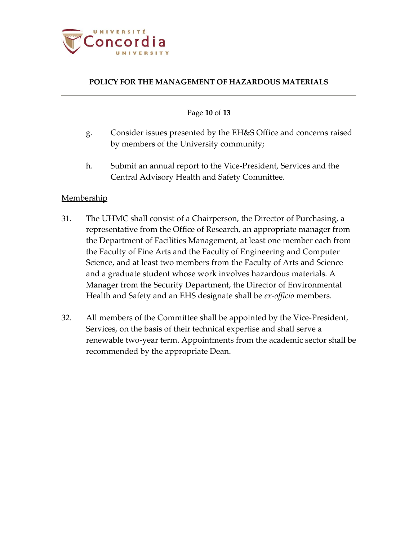

#### Page **10** of **13**

- g. Consider issues presented by the EH&S Office and concerns raised by members of the University community;
- h. Submit an annual report to the Vice-President, Services and the Central Advisory Health and Safety Committee.

### Membership

- 31. The UHMC shall consist of a Chairperson, the Director of Purchasing, a representative from the Office of Research, an appropriate manager from the Department of Facilities Management, at least one member each from the Faculty of Fine Arts and the Faculty of Engineering and Computer Science, and at least two members from the Faculty of Arts and Science and a graduate student whose work involves hazardous materials. A Manager from the Security Department, the Director of Environmental Health and Safety and an EHS designate shall be *ex-officio* members.
- 32. All members of the Committee shall be appointed by the Vice-President, Services, on the basis of their technical expertise and shall serve a renewable two-year term. Appointments from the academic sector shall be recommended by the appropriate Dean.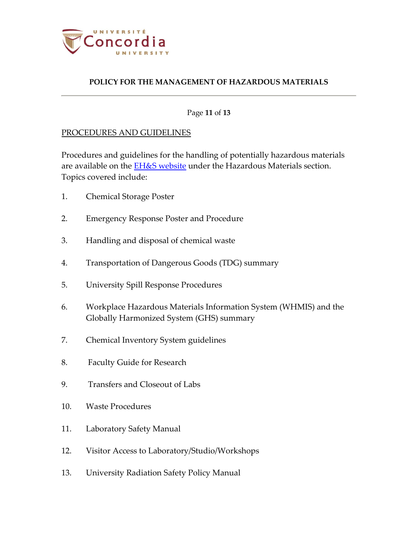

#### Page **11** of **13**

#### PROCEDURES AND GUIDELINES

Procedures and guidelines for the handling of potentially hazardous materials are available on the [EH&S website](http://ehs.concordia.ca/index.php) under the Hazardous Materials section. Topics covered include:

- 1. Chemical Storage Poster
- 2. Emergency Response Poster and Procedure
- 3. Handling and disposal of chemical waste
- 4. Transportation of Dangerous Goods (TDG) summary
- 5. University Spill Response Procedures
- 6. Workplace Hazardous Materials Information System (WHMIS) and the Globally Harmonized System (GHS) summary
- 7. Chemical Inventory System guidelines
- 8. Faculty Guide for Research
- 9. Transfers and Closeout of Labs
- 10. Waste Procedures
- 11. Laboratory Safety Manual
- 12. Visitor Access to Laboratory/Studio/Workshops
- 13. University Radiation Safety Policy Manual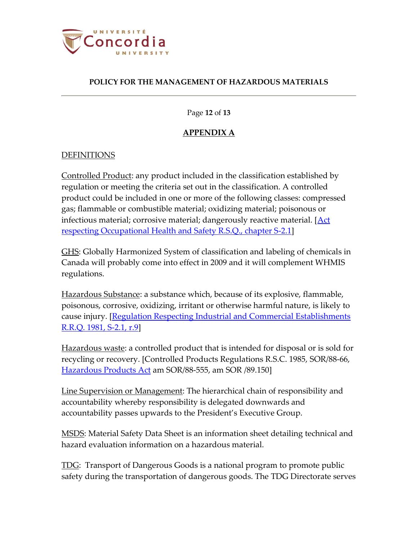

Page **12** of **13**

# **APPENDIX A**

# <span id="page-11-0"></span>DEFINITIONS

Controlled Product: any product included in the classification established by regulation or meeting the criteria set out in the classification. A controlled product could be included in one or more of the following classes: compressed gas; flammable or combustible material; oxidizing material; poisonous or infectious material; corrosive material; dangerously reactive material. [\[Act](http://www2.publicationsduquebec.gouv.qc.ca/dynamicSearch/telecharge.php?type=2&file=/S_2_1/S2_1_A.html)  [respecting Occupational Health and Safety R.S.Q., chapter S-2.1\]](http://www2.publicationsduquebec.gouv.qc.ca/dynamicSearch/telecharge.php?type=2&file=/S_2_1/S2_1_A.html)

GHS: Globally Harmonized System of classification and labeling of chemicals in Canada will probably come into effect in 2009 and it will complement WHMIS regulations.

Hazardous Substance: a substance which, because of its explosive, flammable, poisonous, corrosive, oxidizing, irritant or otherwise harmful nature, is likely to cause injury. [\[Regulation Respecting Industrial and Commercial Establishments](http://www2.publicationsduquebec.gouv.qc.ca/dynamicSearch/telecharge.php?type=3&file=/S_2_1/S2_1R9_A.HTM)  [R.R.Q. 1981, S-2.1, r.9\]](http://www2.publicationsduquebec.gouv.qc.ca/dynamicSearch/telecharge.php?type=3&file=/S_2_1/S2_1R9_A.HTM)

Hazardous waste: a controlled product that is intended for disposal or is sold for recycling or recovery. [Controlled Products Regulations R.S.C. 1985, SOR/88-66, [Hazardous Products Act](http://laws.justice.gc.ca/PDF/Statute/H/H-3.pdf) am SOR/88-555, am SOR /89.150]

Line Supervision or Management: The hierarchical chain of responsibility and accountability whereby responsibility is delegated downwards and accountability passes upwards to the President's Executive Group.

<u>MSDS</u>: Material Safety Data Sheet is an information sheet detailing technical and hazard evaluation information on a hazardous material.

<u>TDG</u>: Transport of Dangerous Goods is a national program to promote public safety during the transportation of dangerous goods. The TDG Directorate serves